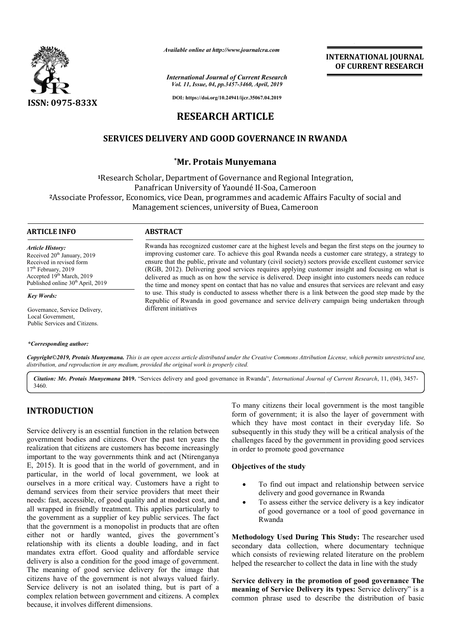

*Available online at http://www.journalcra.com*

*International Journal of Current Research Vol. 11, Issue, 04, pp.3457-3460, April, 2019*

**INTERNATIONAL JOURNAL OF CURRENT RESEARCH**

**DOI: https://doi.org/10.24941/ijcr.35067.04.2019**

# **RESEARCH ARTICLE**

# **SERVICES DELIVERY AND GOOD GOVERNANCE IN RWANDA AND GOOD**

## **\*Mr. Protais Munyemana**

**<sup>1</sup>**Research Scholar, Department of Governance and Regional Integration, Panafrican University of Yaoundé II-Soa, Cameroon **<sup>2</sup>**Associate Professor, Economics, vice Dean, programmes and academic Affairs Faculty of social and Management sciences, university of Buea, Cameroon

#### **ARTICLE INFO ABSTRACT**

different initiatives

*Article History:* Received 20<sup>th</sup> January, 2019 Received in revised form 17<sup>th</sup> February, 2019 Accepted 19<sup>th</sup> March, 2019 Published online  $30<sup>th</sup>$  April, 2019

*Key Words:*

Governance, Service Delivery, Local Government, Public Services and Citizens.

#### *\*Corresponding author:*

Copyright©2019, Protais Munyemana. This is an open access article distributed under the Creative Commons Attribution License, which permits unrestricted use,

Citation: Mr. Protais Munyemana 2019. "Services delivery and good governance in Rwanda", *International Journal of Current Research*, 11, (04), 3457-3460.

# **INTRODUCTION**

Service delivery is an essential function in the relation between government bodies and citizens. Over the past ten years the realization that citizens are customers has become increasingly important to the way governments think and act (Ntirenganya E, 2015). It is good that in the world of government, and in particular, in the world of local government, we look at ourselves in a more critical way. Customers have a right to demand services from their service providers that meet their needs: fast, accessible, of good quality and at modest cost, and all wrapped in friendly treatment. This applies particularly to the government as a supplier of key public services. The fact that the government is a monopolist in products that are often either not or hardly wanted, gives the government's relationship with its clients a double loading, and in fact mandates extra effort. Good quality and affordable service delivery is also a condition for the good image of government. The meaning of good service delivery for the image that citizens have of the government is not always valued fairly. Service delivery is not an isolated thing, but is part of a complex relation between government and citizens. A complex because, it involves different dimensions. **DN**<br> **EXECTS ASSOCITE:** To many citizens their local government is the most tangible<br>
which they have most contact in their everyday life. So<br>
and citizens. Over the past ten years the challenges faced by the government i

*distribution, and reproduction in any medium, provided the original work is properly cited.*

form of government; it is also the layer of government with which they have most contact in their everyday life. So To many citizens their local government is the most tangible<br>form of government; it is also the layer of government with<br>which they have most contact in their everyday life. So<br>subsequently in this study they will be a cri challenges faced by the government in providing good services in order to promote good governance good governance

### **Objectives of the study**

Rwanda has recognized customer care at the highest levels and began the first steps on the journey to improving customer care. To achieve this goal Rwanda needs a customer care strategy, a strategy to ensure that the public, private and voluntary (civil society) sectors provide excellent customer service (RGB, 2012). Delivering good services requires applying customer insight and focusing on what is delivered as much as on how the service is delivered. Deep insight into customers needs can reduce the time and money spent on contact that has no value and ensures that services are relevant and easy to use. This study is conducted to assess whether there is a link between the good step made by the Republic of Rwanda in good governance and service delivery campaign being undertaken through

Rwanda has recognized customer care at the highest levels and began the first steps on the journey to improving customer care. To achieve this goal Rwanda needs a customer care strategy, a strategy to ensure that the publi

the time and money spent on contact that has no value and ensures that services are relevant at to use. This study is conducted to assess whether there is a link between the good step mad<br>Republic of Rwanda in good governa

- To find out impact and relationship between service delivery and good governance in Rwanda
- To assess either the service delivery is a key indicator of good governance or a tool of good governance in Rwanda To find out impact and relationship between service<br>delivery and good governance in Rwanda<br>To assess either the service delivery is a key indicator<br>of good governance or a tool of good governance in

**Methodology Used During This Study:** The researcher used secondary data collection, where documentary technique which consists of reviewing related literature on the problem helped the researcher to collect the data in line with the study

Service delivery in the promotion of good governance The meaning of Service Delivery its types: Service delivery" is a common phrase used to describe the distribution of basic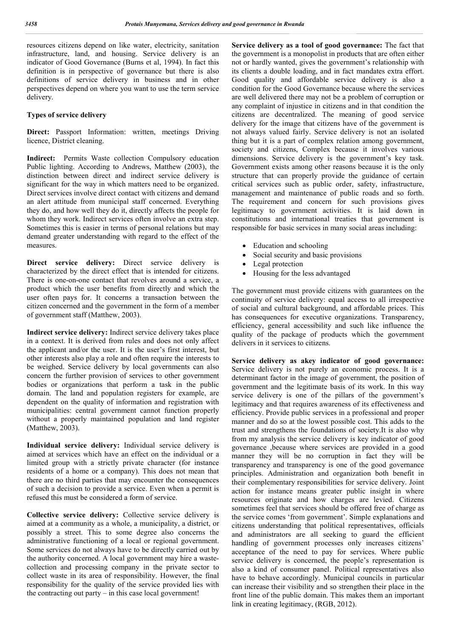resources citizens depend on like water, electricity, sanitation infrastructure, land, and housing. Service delivery is an indicator of Good Governance (Burns et al, 1994). In fact this definition is in perspective of governance but there is also definitions of service delivery in business and in other perspectives depend on where you want to use the term service delivery.

## **Types of service delivery**

**Direct:** Passport Information: written, meetings Driving licence, District cleaning.

**Indirect:** Permits Waste collection Compulsory education Public lighting. According to Andrews, Matthew (2003), the distinction between direct and indirect service delivery is significant for the way in which matters need to be organized. Direct services involve direct contact with citizens and demand an alert attitude from municipal staff concerned. Everything they do, and how well they do it, directly affects the people for whom they work. Indirect services often involve an extra step. Sometimes this is easier in terms of personal relations but may demand greater understanding with regard to the effect of the measures.

**Direct service delivery:** Direct service delivery is characterized by the direct effect that is intended for citizens. There is one-on-one contact that revolves around a service, a product which the user benefits from directly and which the user often pays for. It concerns a transaction between the citizen concerned and the government in the form of a member of government staff (Matthew, 2003).

**Indirect service delivery:** Indirect service delivery takes place in a context. It is derived from rules and does not only affect the applicant and/or the user. It is the user's first interest, but other interests also play a role and often require the interests to be weighed. Service delivery by local governments can also concern the further provision of services to other government bodies or organizations that perform a task in the public domain. The land and population registers for example, are dependent on the quality of information and registration with municipalities: central government cannot function properly without a properly maintained population and land register (Matthew, 2003).

**Individual service delivery:** Individual service delivery is aimed at services which have an effect on the individual or a limited group with a strictly private character (for instance residents of a home or a company). This does not mean that there are no third parties that may encounter the consequences of such a decision to provide a service. Even when a permit is refused this must be considered a form of service.

**Collective service delivery:** Collective service delivery is aimed at a community as a whole, a municipality, a district, or possibly a street. This to some degree also concerns the administrative functioning of a local or regional government. Some services do not always have to be directly carried out by the authority concerned. A local government may hire a wastecollection and processing company in the private sector to collect waste in its area of responsibility. However, the final responsibility for the quality of the service provided lies with the contracting out party – in this case local government!

**Service delivery as a tool of good governance:** The fact that the government is a monopolist in products that are often either not or hardly wanted, gives the government's relationship with its clients a double loading, and in fact mandates extra effort. Good quality and affordable service delivery is also a condition for the Good Governance because where the services are well delivered there may not be a problem of corruption or any complaint of injustice in citizens and in that condition the citizens are decentralized. The meaning of good service delivery for the image that citizens have of the government is not always valued fairly. Service delivery is not an isolated thing but it is a part of complex relation among government, society and citizens, Complex because it involves various dimensions. Service delivery is the government's key task. Government exists among other reasons because it is the only structure that can properly provide the guidance of certain critical services such as public order, safety, infrastructure, management and maintenance of public roads and so forth. The requirement and concern for such provisions gives legitimacy to government activities. It is laid down in constitutions and international treaties that government is responsible for basic services in many social areas including:

- Education and schooling
- Social security and basic provisions
- Legal protection
- Housing for the less advantaged

The government must provide citizens with guarantees on the continuity of service delivery: equal access to all irrespective of social and cultural background, and affordable prices. This has consequences for executive organizations. Transparency, efficiency, general accessibility and such like influence the quality of the package of products which the government delivers in it services to citizens.

**Service delivery as akey indicator of good governance:**  Service delivery is not purely an economic process. It is a determinant factor in the image of government, the position of government and the legitimate basis of its work. In this way service delivery is one of the pillars of the government's legitimacy and that requires awareness of its effectiveness and efficiency. Provide public services in a professional and proper manner and do so at the lowest possible cost. This adds to the trust and strengthens the foundations of society.It is also why from my analysis the service delivery is key indicator of good governance ,because where services are provided in a good manner they will be no corruption in fact they will be transparency and transparency is one of the good governance principles. Administration and organization both benefit in their complementary responsibilities for service delivery. Joint action for instance means greater public insight in where resources originate and how charges are levied. Citizens sometimes feel that services should be offered free of charge as the service comes 'from government'. Simple explanations and citizens understanding that political representatives, officials and administrators are all seeking to guard the efficient handling of government processes only increases citizens' acceptance of the need to pay for services. Where public service delivery is concerned, the people's representation is also a kind of consumer panel. Political representatives also have to behave accordingly. Municipal councils in particular can increase their visibility and so strengthen their place in the front line of the public domain. This makes them an important link in creating legitimacy, (RGB, 2012).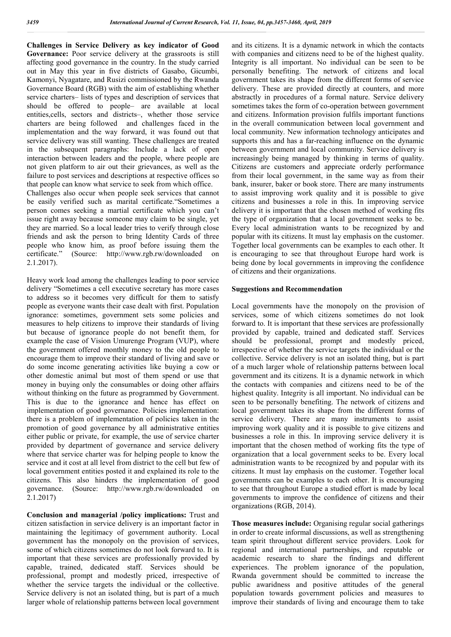**Challenges in Service Delivery as key indicator of Good**  Governance: Poor service delivery at the grassroots is still affecting good governance in the country. In the study carried out in May this year in five districts of Gasabo, Gicumbi, Kamonyi, Nyagatare, and Rusizi commissioned by the Rwanda Governance Board (RGB) with the aim of establishing whether service charters– lists of types and description of services that should be offered to people– are available at local entities,cells, sectors and districts–, whether those service charters are being followed and challenges faced in the implementation and the way forward, it was found out that service delivery was still wanting. These challenges are treated in the subsequent paragraphs: Include a lack of open interaction between leaders and the people, where people are not given platform to air out their grievances, as well as the failure to post services and descriptions at respective offices so that people can know what service to seek from which office.

Challenges also occur when people seek services that cannot be easily verified such as marital certificate."Sometimes a person comes seeking a martial certificate which you can't issue right away because someone may claim to be single, yet they are married. So a local leader tries to verify through close friends and ask the person to bring Identity Cards of three people who know him, as proof before issuing them the certificate." (Source: http://www.rgb.rw/downloaded on 2.1.2017).

Heavy work load among the challenges leading to poor service delivery "Sometimes a cell executive secretary has more cases to address so it becomes very difficult for them to satisfy people as everyone wants their case dealt with first. Population ignorance: sometimes, government sets some policies and measures to help citizens to improve their standards of living but because of ignorance people do not benefit them, for example the case of Vision Umurenge Program (VUP), where the government offered monthly money to the old people to encourage them to improve their standard of living and save or do some income generating activities like buying a cow or other domestic animal but most of them spend or use that money in buying only the consumables or doing other affairs without thinking on the future as programmed by Government. This is due to the ignorance and hence has effect on implementation of good governance. Policies implementation: there is a problem of implementation of policies taken in the promotion of good governance by all administrative entities either public or private, for example, the use of service charter provided by department of governance and service delivery where that service charter was for helping people to know the service and it cost at all level from district to the cell but few of local government entities posted it and explained its role to the citizens. This also hinders the implementation of good governance. (Source: http://www.rgb.rw/downloaded on 2.1.2017)

**Conclusion and managerial /policy implications:** Trust and citizen satisfaction in service delivery is an important factor in maintaining the legitimacy of government authority. Local government has the monopoly on the provision of services, some of which citizens sometimes do not look forward to. It is important that these services are professionally provided by capable, trained, dedicated staff. Services should be professional, prompt and modestly priced, irrespective of whether the service targets the individual or the collective. Service delivery is not an isolated thing, but is part of a much larger whole of relationship patterns between local government and its citizens. It is a dynamic network in which the contacts with companies and citizens need to be of the highest quality. Integrity is all important. No individual can be seen to be personally benefiting. The network of citizens and local government takes its shape from the different forms of service delivery. These are provided directly at counters, and more abstractly in procedures of a formal nature. Service delivery sometimes takes the form of co-operation between government and citizens. Information provision fulfils important functions in the overall communication between local government and local community. New information technology anticipates and supports this and has a far-reaching influence on the dynamic between government and local community. Service delivery is increasingly being managed by thinking in terms of quality. Citizens are customers and appreciate orderly performance from their local government, in the same way as from their bank, insurer, baker or book store. There are many instruments to assist improving work quality and it is possible to give citizens and businesses a role in this. In improving service delivery it is important that the chosen method of working fits the type of organization that a local government seeks to be. Every local administration wants to be recognized by and popular with its citizens. It must lay emphasis on the customer. Together local governments can be examples to each other. It is encouraging to see that throughout Europe hard work is being done by local governments in improving the confidence of citizens and their organizations.

#### **Suggestions and Recommendation**

Local governments have the monopoly on the provision of services, some of which citizens sometimes do not look forward to. It is important that these services are professionally provided by capable, trained and dedicated staff. Services should be professional, prompt and modestly priced, irrespective of whether the service targets the individual or the collective. Service delivery is not an isolated thing, but is part of a much larger whole of relationship patterns between local government and its citizens. It is a dynamic network in which the contacts with companies and citizens need to be of the highest quality. Integrity is all important. No individual can be seen to be personally benefiting. The network of citizens and local government takes its shape from the different forms of service delivery. There are many instruments to assist improving work quality and it is possible to give citizens and businesses a role in this. In improving service delivery it is important that the chosen method of working fits the type of organization that a local government seeks to be. Every local administration wants to be recognized by and popular with its citizens. It must lay emphasis on the customer. Together local governments can be examples to each other. It is encouraging to see that throughout Europe a studied effort is made by local governments to improve the confidence of citizens and their organizations (RGB, 2014).

**Those measures include:** Organising regular social gatherings in order to create informal discussions, as well as strengthening team spirit throughout different service providers. Look for regional and international partnerships, and reputable or academic research to share the findings and different experiences. The problem ignorance of the population, Rwanda government should be committed to increase the public awaridness and positive attitudes of the general population towards government policies and measures to improve their standards of living and encourage them to take